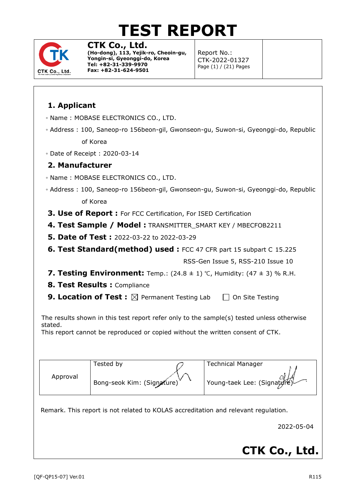# **TEST REPORT**



**CTK Co., Ltd. (Ho-dong), 113, Yejik-ro, Cheoin-gu, Yongin-si, Gyeonggi-do, Korea Tel: +82-31-339-9970 Fax: +82-31-624-9501**

Report No.: CTK-2022-01327 Page (1) / (21) Pages

### **1. Applicant**

- Name : MOBASE ELECTRONICS CO., LTD.
- Address : 100, Saneop-ro 156beon-gil, Gwonseon-gu, Suwon-si, Gyeonggi-do, Republic of Korea
- Date of Receipt : 2020-03-14

#### **2. Manufacturer**

- Name : MOBASE ELECTRONICS CO., LTD.
- Address : 100, Saneop-ro 156beon-gil, Gwonseon-gu, Suwon-si, Gyeonggi-do, Republic of Korea
- **3. Use of Report :** For FCC Certification, For ISED Certification
- **4. Test Sample / Model :** TRANSMITTER\_SMART KEY / MBECFOB2211
- **5. Date of Test :** 2022-03-22 to 2022-03-29
- **6. Test Standard(method) used :** FCC 47 CFR part 15 subpart C 15.225

RSS-Gen Issue 5, RSS-210 Issue 10

- **7. Testing Environment:** Temp.: (24.8 ± 1) ℃, Humidity: (47 ± 3) % R.H.
- **8. Test Results :** Compliance
- **9. Location of Test :**  $\boxtimes$  Permanent Testing Lab  $\Box$  On Site Testing

The results shown in this test report refer only to the sample(s) tested unless otherwise stated.

This report cannot be reproduced or copied without the written consent of CTK.

|          | Tested by                  | <b>Technical Manager</b>    |
|----------|----------------------------|-----------------------------|
| Approval | Bong-seok Kim: (Signature) | Young-taek Lee: (Signatyre) |

Remark. This report is not related to KOLAS accreditation and relevant regulation.

2022-05-04

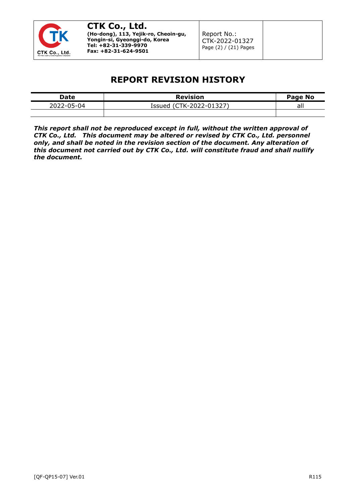

### **REPORT REVISION HISTORY**

| Date     | <b>Revision</b>                                                      | Page No       |
|----------|----------------------------------------------------------------------|---------------|
| — 104⊸د∪ | $\sim$ $\sim$ $\sim$ $\sim$<br>$\sim$ $\sim$<br>′י<br>ssued<br>, , , | $\sim$<br>all |
|          |                                                                      |               |

*This report shall not be reproduced except in full, without the written approval of CTK Co., Ltd. This document may be altered or revised by CTK Co., Ltd. personnel only, and shall be noted in the revision section of the document. Any alteration of this document not carried out by CTK Co., Ltd. will constitute fraud and shall nullify the document.*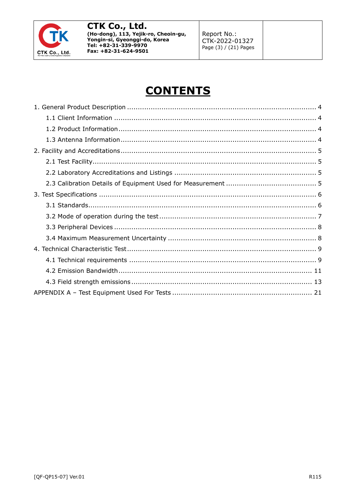

Report No.: CTK-2022-01327 Page (3) / (21) Pages

## **CONTENTS**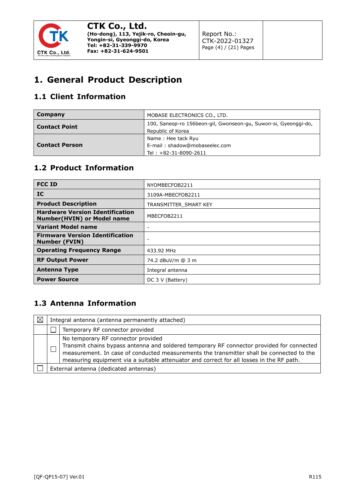

Report No.: CTK-2022-01327 Page (4) / (21) Pages

### <span id="page-3-0"></span>**1. General Product Description**

#### <span id="page-3-1"></span>**1.1 Client Information**

| Company               | MOBASE ELECTRONICS CO., LTD.                                                         |
|-----------------------|--------------------------------------------------------------------------------------|
| <b>Contact Point</b>  | 100, Saneop-ro 156beon-gil, Gwonseon-gu, Suwon-si, Gyeonggi-do,<br>Republic of Korea |
| <b>Contact Person</b> | Name: Hee tack Ryu<br>E-mail: shadow@mobaseelec.com                                  |
|                       | Tel: +82-31-8090-2611                                                                |

#### <span id="page-3-2"></span>**1.2 Product Information**

| <b>FCC ID</b>                                                               | NYOMBECFOB2211        |
|-----------------------------------------------------------------------------|-----------------------|
| IC.                                                                         | 3109A-MBECFOB2211     |
| <b>Product Description</b>                                                  | TRANSMITTER SMART KEY |
| <b>Hardware Version Identification</b><br><b>Number(HVIN) or Model name</b> | MBECFOB2211           |
| <b>Variant Model name</b>                                                   |                       |
| <b>Firmware Version Identification</b><br><b>Number (FVIN)</b>              |                       |
| <b>Operating Frequency Range</b>                                            | 433.92 MHz            |
| <b>RF Output Power</b>                                                      | 74.2 dBuV/m @ 3 m     |
| <b>Antenna Type</b>                                                         | Integral antenna      |
| <b>Power Source</b>                                                         | DC 3 V (Battery)      |

#### <span id="page-3-3"></span>**1.3 Antenna Information**

| $\boxtimes$ | Integral antenna (antenna permanently attached) |                                                                                                                                                                                                                                                                                                                         |  |
|-------------|-------------------------------------------------|-------------------------------------------------------------------------------------------------------------------------------------------------------------------------------------------------------------------------------------------------------------------------------------------------------------------------|--|
|             |                                                 | Temporary RF connector provided                                                                                                                                                                                                                                                                                         |  |
|             |                                                 | No temporary RF connector provided<br>Transmit chains bypass antenna and soldered temporary RF connector provided for connected<br>measurement. In case of conducted measurements the transmitter shall be connected to the<br>measuring equipment via a suitable attenuator and correct for all losses in the RF path. |  |
|             | External antenna (dedicated antennas)           |                                                                                                                                                                                                                                                                                                                         |  |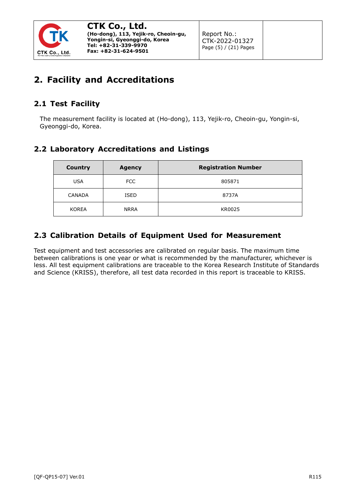

### <span id="page-4-0"></span>**2. Facility and Accreditations**

#### <span id="page-4-1"></span>**2.1 Test Facility**

The measurement facility is located at (Ho-dong), 113, Yejik-ro, Cheoin-gu, Yongin-si, Gyeonggi-do, Korea.

#### <span id="page-4-2"></span>**2.2 Laboratory Accreditations and Listings**

| <b>Country</b> | <b>Agency</b> | <b>Registration Number</b> |
|----------------|---------------|----------------------------|
| <b>USA</b>     | <b>FCC</b>    | 805871                     |
| <b>CANADA</b>  | <b>ISED</b>   | 8737A                      |
| <b>KOREA</b>   | <b>NRRA</b>   | KR0025                     |

#### <span id="page-4-3"></span>**2.3 Calibration Details of Equipment Used for Measurement**

Test equipment and test accessories are calibrated on regular basis. The maximum time between calibrations is one year or what is recommended by the manufacturer, whichever is less. All test equipment calibrations are traceable to the Korea Research Institute of Standards and Science (KRISS), therefore, all test data recorded in this report is traceable to KRISS.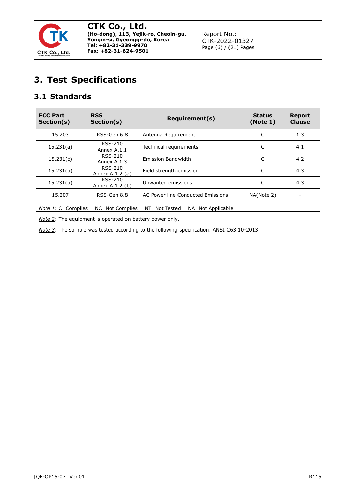

### <span id="page-5-0"></span>**3. Test Specifications**

### <span id="page-5-1"></span>**3.1 Standards**

| <b>FCC Part</b><br>Section(s)                                                                    | <b>RSS</b><br>Section(s)   | <b>Requirement(s)</b>             | <b>Status</b><br>(Note 1) | <b>Report</b><br><b>Clause</b> |
|--------------------------------------------------------------------------------------------------|----------------------------|-----------------------------------|---------------------------|--------------------------------|
| 15.203                                                                                           | RSS-Gen 6.8                | Antenna Requirement               | C                         | 1.3                            |
| 15.231(a)                                                                                        | RSS-210<br>Annex A.1.1     | Technical requirements            | C                         | 4.1                            |
| 15.231(c)                                                                                        | RSS-210<br>Annex A.1.3     | <b>Emission Bandwidth</b>         | C                         | 4.2                            |
| 15.231(b)                                                                                        | RSS-210<br>Annex A.1.2 (a) | Field strength emission           | C                         | 4.3                            |
| 15.231(b)                                                                                        | RSS-210<br>Annex A.1.2 (b) | 4.3<br>C<br>Unwanted emissions    |                           |                                |
| 15.207                                                                                           | RSS-Gen 8.8                | AC Power line Conducted Emissions | NA(Note 2)                |                                |
| <i>Note 1</i> : $C =$ Complies<br>NT=Not Tested<br>NC=Not Complies<br>NA=Not Applicable          |                            |                                   |                           |                                |
| Note 2: The equipment is operated on battery power only.                                         |                            |                                   |                           |                                |
| <i>Note 3:</i> The sample was tested according to the following specification: ANSI C63.10-2013. |                            |                                   |                           |                                |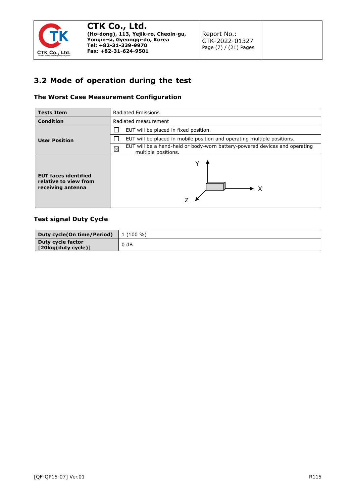

Report No.: CTK-2022-01327 Page (7) / (21) Pages

#### <span id="page-6-0"></span>**3.2 Mode of operation during the test**

#### **The Worst Case Measurement Configuration**

| <b>Tests Item</b>                                                         | <b>Radiated Emissions</b>                                                                                        |  |
|---------------------------------------------------------------------------|------------------------------------------------------------------------------------------------------------------|--|
| <b>Condition</b>                                                          | Radiated measurement                                                                                             |  |
|                                                                           | EUT will be placed in fixed position.                                                                            |  |
| <b>User Position</b>                                                      | EUT will be placed in mobile position and operating multiple positions.                                          |  |
|                                                                           | EUT will be a hand-held or body-worn battery-powered devices and operating<br>$\boxtimes$<br>multiple positions. |  |
| <b>EUT faces identified</b><br>relative to view from<br>receiving antenna | - X                                                                                                              |  |

#### **Test signal Duty Cycle**

| Duty cycle(On time/Period)                       | $1(100\%)$ |
|--------------------------------------------------|------------|
| Duty cycle factor<br>$\vert$ [20log(duty cycle)] | $0$ dB     |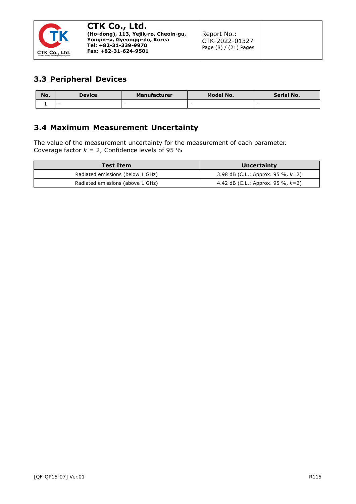

#### <span id="page-7-0"></span>**3.3 Peripheral Devices**

| No. | <b>Device</b> | <b>Manufacturer</b> | Model No. | Serial No. |
|-----|---------------|---------------------|-----------|------------|
|     | -             | -                   |           | -          |

#### <span id="page-7-1"></span>**3.4 Maximum Measurement Uncertainty**

The value of the measurement uncertainty for the measurement of each parameter. Coverage factor  $k = 2$ , Confidence levels of 95 %

| <b>Test Item</b>                 | Uncertainty                          |
|----------------------------------|--------------------------------------|
| Radiated emissions (below 1 GHz) | 3.98 dB (C.L.: Approx. 95 %, $k=2$ ) |
| Radiated emissions (above 1 GHz) | 4.42 dB (C.L.: Approx. 95 %, $k=2$ ) |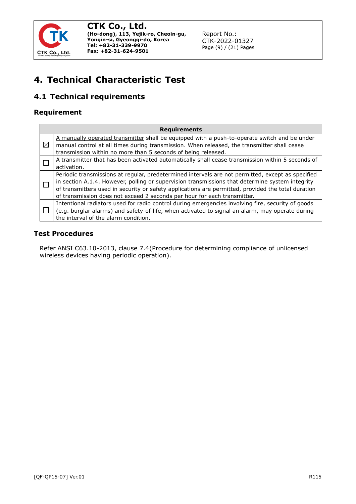

Report No.: CTK-2022-01327 Page (9) / (21) Pages

### <span id="page-8-0"></span>**4. Technical Characteristic Test**

### <span id="page-8-1"></span>**4.1 Technical requirements**

#### **Requirement**

|             | <b>Requirements</b>                                                                                                                                                                                                                                                                                                                                                                    |  |  |  |  |  |
|-------------|----------------------------------------------------------------------------------------------------------------------------------------------------------------------------------------------------------------------------------------------------------------------------------------------------------------------------------------------------------------------------------------|--|--|--|--|--|
| $\boxtimes$ | A manually operated transmitter shall be equipped with a push-to-operate switch and be under<br>manual control at all times during transmission. When released, the transmitter shall cease<br>transmission within no more than 5 seconds of being released.                                                                                                                           |  |  |  |  |  |
|             | A transmitter that has been activated automatically shall cease transmission within 5 seconds of<br>activation.                                                                                                                                                                                                                                                                        |  |  |  |  |  |
|             | Periodic transmissions at regular, predetermined intervals are not permitted, except as specified<br>in section A.1.4. However, polling or supervision transmissions that determine system integrity<br>of transmitters used in security or safety applications are permitted, provided the total duration<br>of transmission does not exceed 2 seconds per hour for each transmitter. |  |  |  |  |  |
|             | Intentional radiators used for radio control during emergencies involving fire, security of goods<br>(e.g. burglar alarms) and safety-of-life, when activated to signal an alarm, may operate during<br>the interval of the alarm condition.                                                                                                                                           |  |  |  |  |  |

#### **Test Procedures**

Refer ANSI C63.10-2013, clause 7.4(Procedure for determining compliance of unlicensed wireless devices having periodic operation).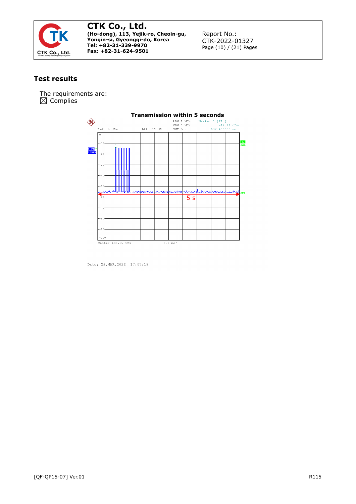

Report No.: CTK-2022-01327 Page (10) / (21) Pages

#### **Test results**

The requirements are:  $\boxtimes$  Complies



Date: 29.MAR.2022 17:07:19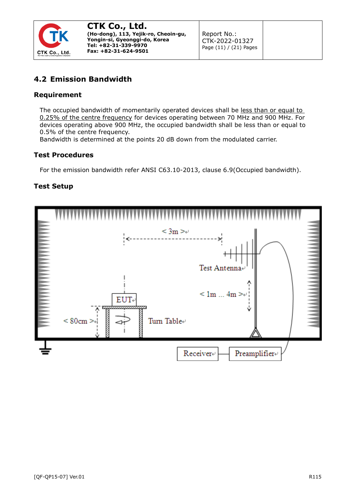

Report No.: CTK-2022-01327 Page (11) / (21) Pages

#### <span id="page-10-0"></span>**4.2 Emission Bandwidth**

#### **Requirement**

The occupied bandwidth of momentarily operated devices shall be less than or equal to 0.25% of the centre frequency for devices operating between 70 MHz and 900 MHz. For devices operating above 900 MHz, the occupied bandwidth shall be less than or equal to 0.5% of the centre frequency.

Bandwidth is determined at the points 20 dB down from the modulated carrier.

#### **Test Procedures**

For the emission bandwidth refer ANSI C63.10-2013, clause 6.9(Occupied bandwidth).

#### **Test Setup**

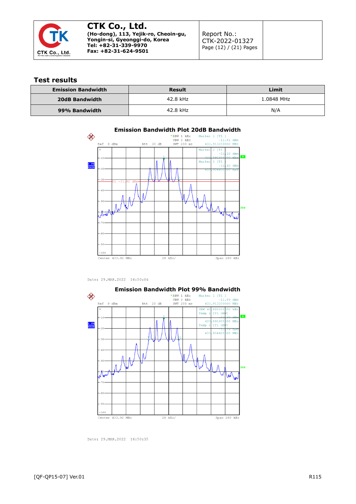

Report No.: CTK-2022-01327 Page (12) / (21) Pages

#### **Test results**

| <b>Emission Bandwidth</b> | Result   | Limit      |  |
|---------------------------|----------|------------|--|
| 20dB Bandwidth            | 42.8 kHz | 1.0848 MHz |  |
| 99% Bandwidth             | 42.8 kHz | N/A        |  |



Date: 29.MAR.2022 16:50:04



Date: 29.MAR.2022 16:50:35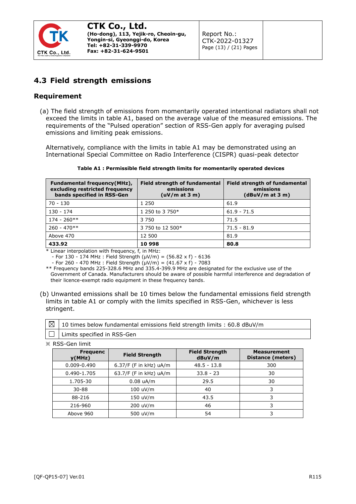

#### <span id="page-12-0"></span>**4.3 Field strength emissions**

#### **Requirement**

(a) The field strength of emissions from momentarily operated intentional radiators shall not exceed the limits in [table](http://www.ic.gc.ca/eic/site/smt-gst.nsf/eng/sf01320.html#tA1) A1, based on the average value of the measured emissions. The requirements of the "Pulsed operation" section of [RSS-Gen](http://www.ic.gc.ca/eic/site/smt-gst.nsf/eng/sf08449.html) apply for averaging pulsed emissions and limiting peak emissions.

Alternatively, compliance with the limits in [table](http://www.ic.gc.ca/eic/site/smt-gst.nsf/eng/sf01320.html#tA1) A1 may be demonstrated using an International Special Committee on Radio Interference (CISPR) quasi-peak detector

| <b>Fundamental frequency (MHz),</b><br>excluding restricted frequency<br>bands specified in RSS-Gen | <b>Field strength of fundamental</b><br>emissions<br>(uV/m at 3 m) | Field strength of fundamental<br>emissions<br>(dBuV/m at 3 m) |
|-----------------------------------------------------------------------------------------------------|--------------------------------------------------------------------|---------------------------------------------------------------|
| 70 - 130                                                                                            | 1 2 5 0                                                            | 61.9                                                          |
| $130 - 174$                                                                                         | 1 250 to 3 750*                                                    | $61.9 - 71.5$                                                 |
| $174 - 260**$                                                                                       | 3 7 5 0                                                            | 71.5                                                          |
| $260 - 470**$                                                                                       | 3 750 to 12 500*                                                   | $71.5 - 81.9$                                                 |
| Above 470                                                                                           | 12 500                                                             | 81.9                                                          |
| 433.92                                                                                              | 10 998                                                             | 80.8                                                          |

#### **Table A1 : Permissible field strength limits for momentarily operated devices**

\* Linear interpolation with frequency, f, in MHz:

- For 130 - 174 MHz : Field Strength (µV/m) = (56.82 x f) - 6136

 $-$  For 260 - 470 MHz : Field Strength  $(\mu V/m) = (41.67 \times f) - 7083$ 

\*\* Frequency bands 225-328.6 MHz and 335.4-399.9 MHz are designated for the exclusive use of the Government of Canada. Manufacturers should be aware of possible harmful interference and degradation of their licence-exempt radio equipment in these frequency bands.

(b) Unwanted emissions shall be 10 times below the fundamental emissions field strength limits in table A1 or comply with the limits specified in [RSS-Gen,](http://www.ic.gc.ca/eic/site/smt-gst.nsf/eng/sf08449.html) whichever is less stringent.

| $\boxtimes$   10 times below fundamental emissions field strength limits : 60.8 dBuV/m                                                                                                                                               |
|--------------------------------------------------------------------------------------------------------------------------------------------------------------------------------------------------------------------------------------|
| <u>and the community of the community of the community of the community of the community of the community of the community of the community of the community of the community of the community of the community of the community</u> |

 $|\Box|$  Limits specified in RSS-Gen

※ RSS-Gen limit

| <b>Frequenc</b><br>y(MHz) | <b>Field Strength</b>    | <b>Field Strength</b><br>dBuV/m | <b>Measurement</b><br>Distance (meters) |
|---------------------------|--------------------------|---------------------------------|-----------------------------------------|
| $0.009 - 0.490$           | $6.37/F$ (F in kHz) uA/m | $48.5 - 13.8$                   | 300                                     |
| 0.490-1.705               | 63.7/F (F in kHz) uA/m   | $33.8 - 23$                     | 30                                      |
| 1.705-30                  | $0.08$ uA/m              | 29.5                            | 30                                      |
| $30 - 88$                 | 100 uV/m                 | 40                              | 3                                       |
| 88-216                    | 150 uV/m                 | 43.5                            |                                         |
| 216-960                   | 200 uV/m                 | 46                              |                                         |
| Above 960                 | 500 uV/m                 | 54                              | 3                                       |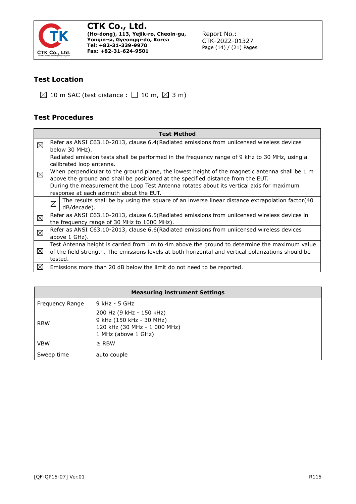

Report No.: CTK-2022-01327 Page (14) / (21) Pages

#### **Test Location**

 $\boxtimes$  10 m SAC (test distance :  $\Box$  10 m,  $\boxtimes$  3 m)

#### **Test Procedures**

|             | <b>Test Method</b>                                                                                                                                                                                                          |  |  |  |  |  |  |  |
|-------------|-----------------------------------------------------------------------------------------------------------------------------------------------------------------------------------------------------------------------------|--|--|--|--|--|--|--|
| ⊠           | Refer as ANSI C63.10-2013, clause 6.4 (Radiated emissions from unlicensed wireless devices<br>below 30 MHz).                                                                                                                |  |  |  |  |  |  |  |
| ⊠           | Radiated emission tests shall be performed in the frequency range of 9 kHz to 30 MHz, using a<br>calibrated loop antenna.<br>When perpendicular to the ground plane, the lowest height of the magnetic antenna shall be 1 m |  |  |  |  |  |  |  |
|             | above the ground and shall be positioned at the specified distance from the EUT.                                                                                                                                            |  |  |  |  |  |  |  |
|             | During the measurement the Loop Test Antenna rotates about its vertical axis for maximum                                                                                                                                    |  |  |  |  |  |  |  |
|             | response at each azimuth about the EUT.                                                                                                                                                                                     |  |  |  |  |  |  |  |
|             | The results shall be by using the square of an inverse linear distance extrapolation factor(40<br>⊠<br>dB/decade).                                                                                                          |  |  |  |  |  |  |  |
|             | Refer as ANSI C63.10-2013, clause 6.5(Radiated emissions from unlicensed wireless devices in                                                                                                                                |  |  |  |  |  |  |  |
| $\boxtimes$ | the frequency range of 30 MHz to 1000 MHz).                                                                                                                                                                                 |  |  |  |  |  |  |  |
| ⊠           | Refer as ANSI C63.10-2013, clause 6.6(Radiated emissions from unlicensed wireless devices                                                                                                                                   |  |  |  |  |  |  |  |
|             | above 1 GHz).                                                                                                                                                                                                               |  |  |  |  |  |  |  |
|             | Test Antenna height is carried from 1m to 4m above the ground to determine the maximum value                                                                                                                                |  |  |  |  |  |  |  |
| ⊠           | of the field strength. The emissions levels at both horizontal and vertical polarizations should be                                                                                                                         |  |  |  |  |  |  |  |
|             | tested.                                                                                                                                                                                                                     |  |  |  |  |  |  |  |
| ⊠           | Emissions more than 20 dB below the limit do not need to be reported.                                                                                                                                                       |  |  |  |  |  |  |  |

| <b>Measuring instrument Settings</b> |                                                                                                             |  |  |  |
|--------------------------------------|-------------------------------------------------------------------------------------------------------------|--|--|--|
| Frequency Range                      | 9 kHz - 5 GHz                                                                                               |  |  |  |
| <b>RBW</b>                           | 200 Hz (9 kHz - 150 kHz)<br>9 kHz (150 kHz - 30 MHz)<br>120 kHz (30 MHz - 1 000 MHz)<br>1 MHz (above 1 GHz) |  |  |  |
| <b>VBW</b>                           | $\ge$ RBW                                                                                                   |  |  |  |
| Sweep time                           | auto couple                                                                                                 |  |  |  |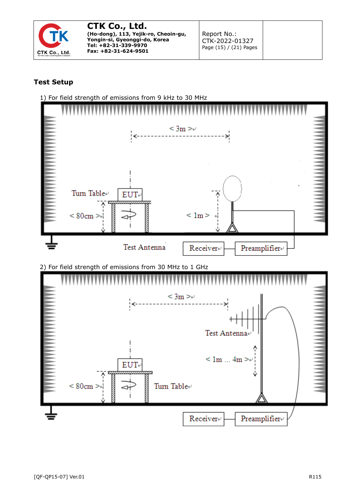

Report No.: CTK-2022-01327 Page (15) / (21) Pages

#### **Test Setup**

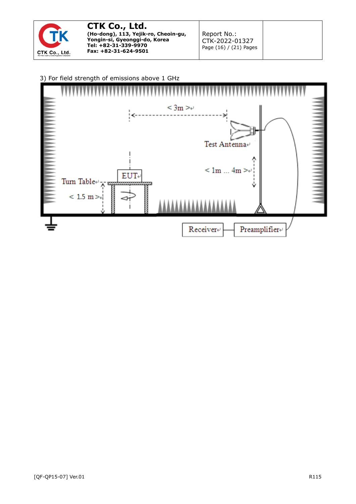

Report No.: CTK-2022-01327 Page (16) / (21) Pages

#### 3) For field strength of emissions above 1 GHz

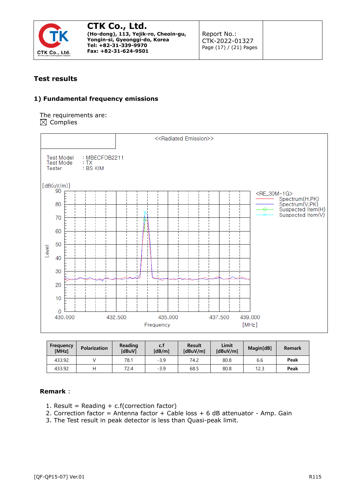

Report No.: CTK-2022-01327 Page (17) / (21) Pages

#### **Test results**

#### **1) Fundamental frequency emissions**

The requirements are:  $\boxtimes$  Complies



| Frequency<br>[MHz] | Polarization | Reading<br><b>IdBuV1</b> | c.1<br>[dB/m] | <b>Result</b><br>[dBuV/m] | Limit<br>[dBuV/ml | Magin[dB] | Remark |
|--------------------|--------------|--------------------------|---------------|---------------------------|-------------------|-----------|--------|
| 433.92             |              | 78.1                     | $-3.9$        | 74.2                      | 80.8              | 6.6       | Peak   |
| 433.92             |              | 72.4                     | $-3.9$        | 68.5                      | 80.8              | 12.3      | Peak   |

- 1. Result = Reading  $+ c.f$  (correction factor)
- 2. Correction factor = Antenna factor + Cable loss + 6 dB attenuator Amp. Gain
- 3. The Test result in peak detector is less than Quasi-peak limit.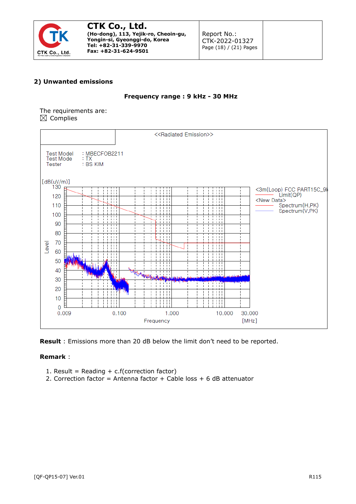

Report No.: CTK-2022-01327 Page (18) / (21) Pages

#### **2) Unwanted emissions**

#### **Frequency range : 9 kHz - 30 MHz**

The requirements are:  $\boxtimes$  Complies



**Result** : Emissions more than 20 dB below the limit don't need to be reported.

- 1. Result = Reading +  $c.f$ (correction factor)
- 2. Correction factor = Antenna factor + Cable loss + 6 dB attenuator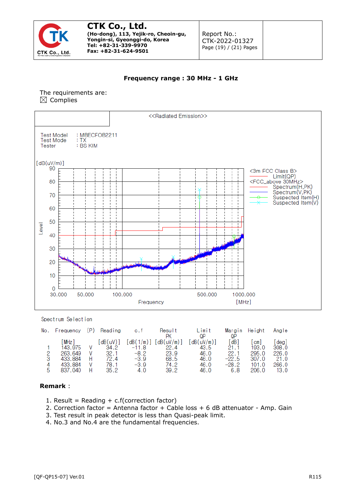

Report No.: CTK-2022-01327 Page (19) / (21) Pages

#### **Frequency range : 30 MHz - 1 GHz**

#### The requirements are:  $\boxtimes$  Complies



Spectrum Selection

| No. | Frequency          | (P) | Reading            | c.t                    | Result<br>РK      | Limit<br>0P        | QP              | Margin Height  | Angle         |
|-----|--------------------|-----|--------------------|------------------------|-------------------|--------------------|-----------------|----------------|---------------|
|     | MHz1<br>143.975    |     | $dB(uV)$ ]<br>34.2 | $dB(1/m)$ ]<br>$-11.8$ | ddB(uV/m)<br>22.4 | [dB(uV/m)]<br>43.5 | dB<br>21.1      | cm I<br>193.0  | deg]<br>308.0 |
| 3   | 263.649<br>433.884 |     | 32.1<br>72.4       | -8.2<br>$-3.9$         | 23.9<br>68.5      | 46.0<br>46.0       | 22.1<br>$-22.5$ | 295.0<br>307.0 | 226.0<br>21.0 |
| 5   | 433.884<br>837.040 |     | 78.1<br>35.2       | $-3.9$<br>4.0          | 74.2<br>39.2      | 46.0<br>46.0       | $-28.2$<br>6.8  | 101.0<br>206.0 | 266.0<br>13.0 |

- 1. Result = Reading  $+ c.f$ (correction factor)
- 2. Correction factor = Antenna factor + Cable loss + 6 dB attenuator Amp. Gain
- 3. Test result in peak detector is less than Quasi-peak limit.
- 4. No.3 and No.4 are the fundamental frequencies.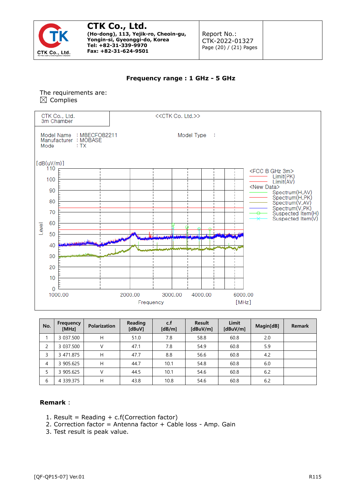

Report No.: CTK-2022-01327 Page (20) / (21) Pages

#### **Frequency range : 1 GHz - 5 GHz**

#### The requirements are:  $\boxtimes$  Complies



| No. | Frequency<br>[MHz] | <b>Polarization</b> | Reading<br>[dBuV] | c.f<br>[dB/m] | <b>Result</b><br>[dBuV/m] | <b>Limit</b><br>[dBuV/m] | Magin[dB] | <b>Remark</b> |
|-----|--------------------|---------------------|-------------------|---------------|---------------------------|--------------------------|-----------|---------------|
|     | 3 037.500          | H                   | 51.0              | 7.8           | 58.8                      | 60.8                     | 2.0       |               |
| 2   | 3 037.500          |                     | 47.1              | 7.8           | 54.9                      | 60.8                     | 5.9       |               |
| 3   | 3 471.875          | H                   | 47.7              | 8.8           | 56.6                      | 60.8                     | 4.2       |               |
| 4   | 3 905.625          | H                   | 44.7              | 10.1          | 54.8                      | 60.8                     | 6.0       |               |
| 5   | 3 905.625          | V                   | 44.5              | 10.1          | 54.6                      | 60.8                     | 6.2       |               |
| 6   | 4 339.375          | Н                   | 43.8              | 10.8          | 54.6                      | 60.8                     | 6.2       |               |

- 1. Result = Reading +  $c.f(Correction factor)$
- 2. Correction factor = Antenna factor + Cable loss Amp. Gain
- 3. Test result is peak value.